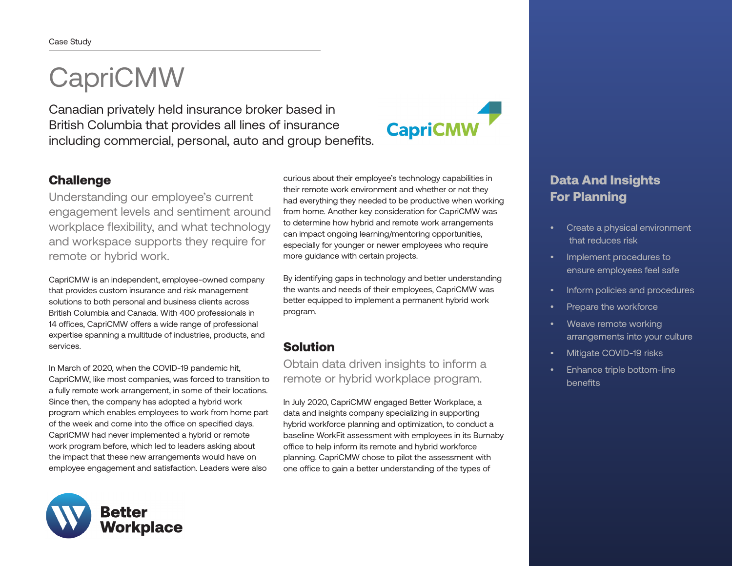## CapriCMW

Canadian privately held insurance broker based in British Columbia that provides all lines of insurance including commercial, personal, auto and group benefits.

# **CapriCMW**

#### **Challenge**

Understanding our employee's current engagement levels and sentiment around workplace flexibility, and what technology and workspace supports they require for remote or hybrid work.

CapriCMW is an independent, employee-owned company that provides custom insurance and risk management solutions to both personal and business clients across British Columbia and Canada. With 400 professionals in 14 offices, CapriCMW offers a wide range of professional expertise spanning a multitude of industries, products, and services.

In March of 2020, when the COVID-19 pandemic hit, CapriCMW, like most companies, was forced to transition to a fully remote work arrangement, in some of their locations. Since then, the company has adopted a hybrid work program which enables employees to work from home part of the week and come into the office on specified days. CapriCMW had never implemented a hybrid or remote work program before, which led to leaders asking about the impact that these new arrangements would have on employee engagement and satisfaction. Leaders were also



curious about their employee's technology capabilities in their remote work environment and whether or not they had everything they needed to be productive when working from home. Another key consideration for CapriCMW was to determine how hybrid and remote work arrangements can impact ongoing learning/mentoring opportunities, especially for younger or newer employees who require more guidance with certain projects.

By identifying gaps in technology and better understanding the wants and needs of their employees, CapriCMW was better equipped to implement a permanent hybrid work program.

## Solution

Obtain data driven insights to inform a remote or hybrid workplace program.

In July 2020, CapriCMW engaged Better Workplace, a data and insights company specializing in supporting hybrid workforce planning and optimization, to conduct a baseline WorkFit assessment with employees in its Burnaby office to help inform its remote and hybrid workforce planning. CapriCMW chose to pilot the assessment with one office to gain a better understanding of the types of

### Data And Insights For Planning

- Create a physical environment that reduces risk
- Implement procedures to ensure employees feel safe
- Inform policies and procedures
- Prepare the workforce
- Weave remote working arrangements into your culture
- Mitigate COVID-19 risks
- Enhance triple bottom-line benefits